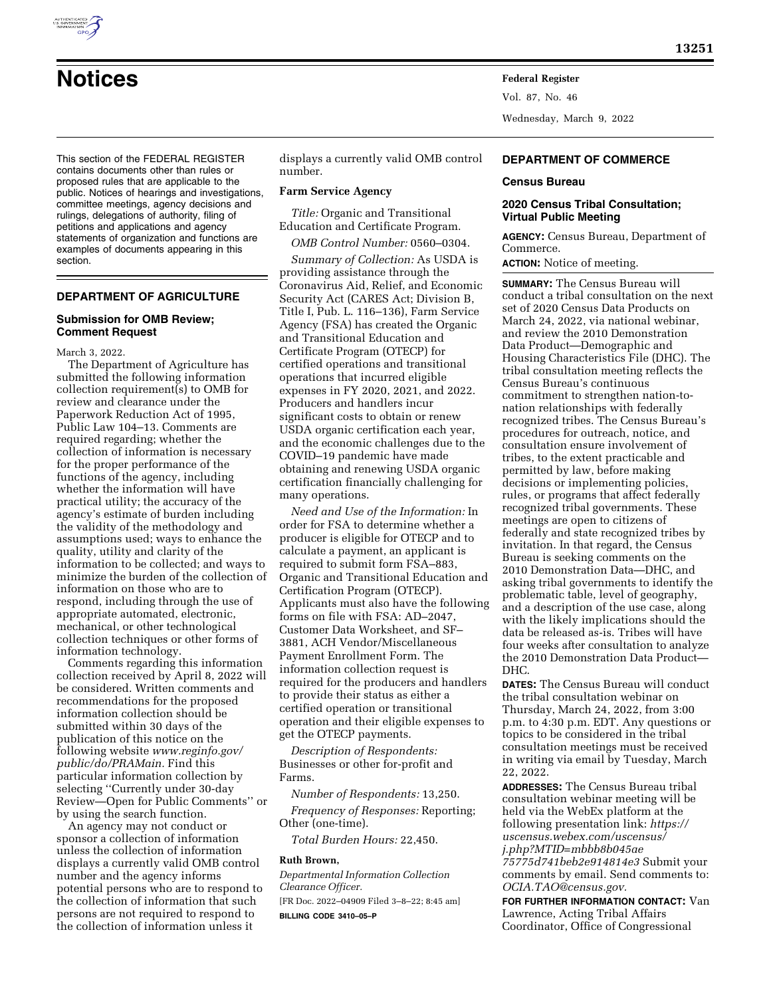

Vol. 87, No. 46 Wednesday, March 9, 2022

This section of the FEDERAL REGISTER contains documents other than rules or proposed rules that are applicable to the public. Notices of hearings and investigations, committee meetings, agency decisions and rulings, delegations of authority, filing of petitions and applications and agency statements of organization and functions are examples of documents appearing in this section.

# **DEPARTMENT OF AGRICULTURE**

#### **Submission for OMB Review; Comment Request**

March 3, 2022.

The Department of Agriculture has submitted the following information collection requirement(s) to OMB for review and clearance under the Paperwork Reduction Act of 1995, Public Law 104–13. Comments are required regarding; whether the collection of information is necessary for the proper performance of the functions of the agency, including whether the information will have practical utility; the accuracy of the agency's estimate of burden including the validity of the methodology and assumptions used; ways to enhance the quality, utility and clarity of the information to be collected; and ways to minimize the burden of the collection of information on those who are to respond, including through the use of appropriate automated, electronic, mechanical, or other technological collection techniques or other forms of information technology.

Comments regarding this information collection received by April 8, 2022 will be considered. Written comments and recommendations for the proposed information collection should be submitted within 30 days of the publication of this notice on the following website *[www.reginfo.gov/](http://www.reginfo.gov/public/do/PRAMain)  [public/do/PRAMain.](http://www.reginfo.gov/public/do/PRAMain)* Find this particular information collection by selecting ''Currently under 30-day Review—Open for Public Comments'' or by using the search function.

An agency may not conduct or sponsor a collection of information unless the collection of information displays a currently valid OMB control number and the agency informs potential persons who are to respond to the collection of information that such persons are not required to respond to the collection of information unless it

displays a currently valid OMB control number.

#### **Farm Service Agency**

*Title:* Organic and Transitional Education and Certificate Program.

*OMB Control Number:* 0560–0304.

*Summary of Collection:* As USDA is providing assistance through the Coronavirus Aid, Relief, and Economic Security Act (CARES Act; Division B, Title I, Pub. L. 116–136), Farm Service Agency (FSA) has created the Organic and Transitional Education and Certificate Program (OTECP) for certified operations and transitional operations that incurred eligible expenses in FY 2020, 2021, and 2022. Producers and handlers incur significant costs to obtain or renew USDA organic certification each year, and the economic challenges due to the COVID–19 pandemic have made obtaining and renewing USDA organic certification financially challenging for many operations.

*Need and Use of the Information:* In order for FSA to determine whether a producer is eligible for OTECP and to calculate a payment, an applicant is required to submit form FSA–883, Organic and Transitional Education and Certification Program (OTECP). Applicants must also have the following forms on file with FSA: AD–2047, Customer Data Worksheet, and SF– 3881, ACH Vendor/Miscellaneous Payment Enrollment Form. The information collection request is required for the producers and handlers to provide their status as either a certified operation or transitional operation and their eligible expenses to get the OTECP payments.

*Description of Respondents:*  Businesses or other for-profit and Farms.

*Number of Respondents:* 13,250.

*Frequency of Responses:* Reporting; Other (one-time).

*Total Burden Hours:* 22,450.

# **Ruth Brown,**

*Departmental Information Collection Clearance Officer.* 

[FR Doc. 2022–04909 Filed 3–8–22; 8:45 am] **BILLING CODE 3410–05–P** 

## **DEPARTMENT OF COMMERCE**

#### **Census Bureau**

## **2020 Census Tribal Consultation; Virtual Public Meeting**

**AGENCY:** Census Bureau, Department of Commerce.

**ACTION:** Notice of meeting.

**SUMMARY:** The Census Bureau will conduct a tribal consultation on the next set of 2020 Census Data Products on March 24, 2022, via national webinar, and review the 2010 Demonstration Data Product—Demographic and Housing Characteristics File (DHC). The tribal consultation meeting reflects the Census Bureau's continuous commitment to strengthen nation-tonation relationships with federally recognized tribes. The Census Bureau's procedures for outreach, notice, and consultation ensure involvement of tribes, to the extent practicable and permitted by law, before making decisions or implementing policies, rules, or programs that affect federally recognized tribal governments. These meetings are open to citizens of federally and state recognized tribes by invitation. In that regard, the Census Bureau is seeking comments on the 2010 Demonstration Data—DHC, and asking tribal governments to identify the problematic table, level of geography, and a description of the use case, along with the likely implications should the data be released as-is. Tribes will have four weeks after consultation to analyze the 2010 Demonstration Data Product— DHC.

**DATES:** The Census Bureau will conduct the tribal consultation webinar on Thursday, March 24, 2022, from 3:00 p.m. to 4:30 p.m. EDT. Any questions or topics to be considered in the tribal consultation meetings must be received in writing via email by Tuesday, March 22, 2022.

**ADDRESSES:** The Census Bureau tribal consultation webinar meeting will be held via the WebEx platform at the following presentation link: *[https://](https://uscensus.webex.com/uscensus/j.php?MTID=mbbb8b045ae75775d741beb2e914814e3) [uscensus.webex.com/uscensus/](https://uscensus.webex.com/uscensus/j.php?MTID=mbbb8b045ae75775d741beb2e914814e3) [j.php?MTID=mbbb8b045ae](https://uscensus.webex.com/uscensus/j.php?MTID=mbbb8b045ae75775d741beb2e914814e3) [75775d741beb2e914814e3](https://uscensus.webex.com/uscensus/j.php?MTID=mbbb8b045ae75775d741beb2e914814e3)* Submit your comments by email. Send comments to: *[OCIA.TAO@census.gov.](mailto:OCIA.TAO@census.gov)* 

**FOR FURTHER INFORMATION CONTACT:** Van Lawrence, Acting Tribal Affairs Coordinator, Office of Congressional